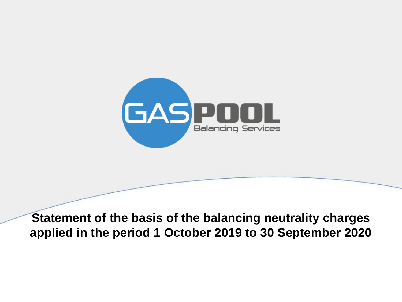

**Statement of the basis of the balancing neutrality charges applied in the period 1 October 2019 to 30 September 2020**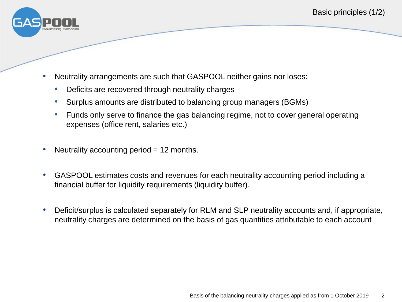

- Neutrality arrangements are such that GASPOOL neither gains nor loses:
	- Deficits are recovered through neutrality charges
	- Surplus amounts are distributed to balancing group managers (BGMs)
	- Funds only serve to finance the gas balancing regime, not to cover general operating expenses (office rent, salaries etc.)
- Neutrality accounting period  $= 12$  months.
- GASPOOL estimates costs and revenues for each neutrality accounting period including a financial buffer for liquidity requirements (liquidity buffer).
- Deficit/surplus is calculated separately for RLM and SLP neutrality accounts and, if appropriate, neutrality charges are determined on the basis of gas quantities attributable to each account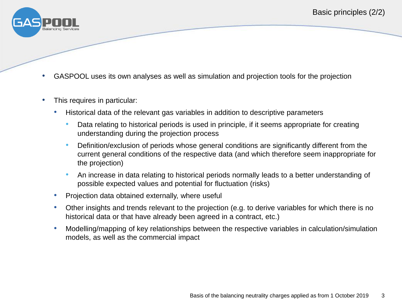

- GASPOOL uses its own analyses as well as simulation and projection tools for the projection
- This requires in particular:
	- Historical data of the relevant gas variables in addition to descriptive parameters
		- Data relating to historical periods is used in principle, if it seems appropriate for creating understanding during the projection process
		- Definition/exclusion of periods whose general conditions are significantly different from the current general conditions of the respective data (and which therefore seem inappropriate for the projection)
		- An increase in data relating to historical periods normally leads to a better understanding of possible expected values and potential for fluctuation (risks)
	- Projection data obtained externally, where useful
	- Other insights and trends relevant to the projection (e.g. to derive variables for which there is no historical data or that have already been agreed in a contract, etc.)
	- Modelling/mapping of key relationships between the respective variables in calculation/simulation models, as well as the commercial impact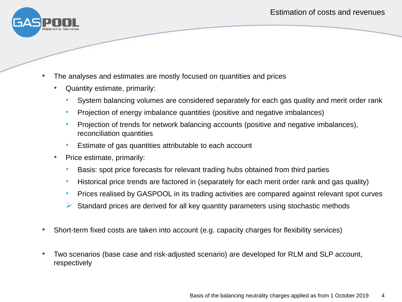

- The analyses and estimates are mostly focused on quantities and prices
	- Quantity estimate, primarily:
		- System balancing volumes are considered separately for each gas quality and merit order rank
		- Projection of energy imbalance quantities (positive and negative imbalances)
		- Projection of trends for network balancing accounts (positive and negative imbalances), reconciliation quantities
		- Estimate of gas quantities attributable to each account
	- Price estimate, primarily:
		- Basis: spot price forecasts for relevant trading hubs obtained from third parties
		- Historical price trends are factored in (separately for each merit order rank and gas quality)
		- Prices realised by GASPOOL in its trading activities are compared against relevant spot curves
		- $\triangleright$  Standard prices are derived for all key quantity parameters using stochastic methods
- Short-term fixed costs are taken into account (e.g. capacity charges for flexibility services)
- Two scenarios (base case and risk-adjusted scenario) are developed for RLM and SLP account, respectively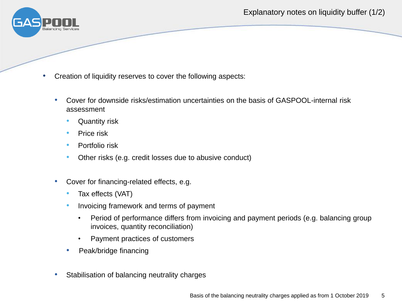Explanatory notes on liquidity buffer (1/2)



- Creation of liquidity reserves to cover the following aspects:
	- Cover for downside risks/estimation uncertainties on the basis of GASPOOL-internal risk assessment
		- Quantity risk
		- Price risk
		- Portfolio risk
		- Other risks (e.g. credit losses due to abusive conduct)
	- Cover for financing-related effects, e.g.
		- Tax effects (VAT)
		- Invoicing framework and terms of payment
			- Period of performance differs from invoicing and payment periods (e.g. balancing group invoices, quantity reconciliation)
			- Payment practices of customers
		- Peak/bridge financing
	- Stabilisation of balancing neutrality charges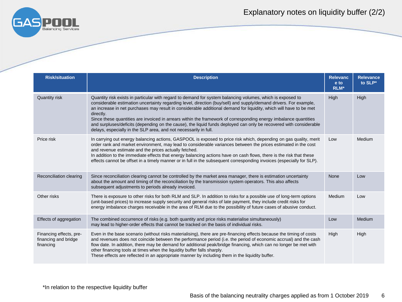

## Explanatory notes on liquidity buffer (2/2)

| <b>Risk/situation</b>                                        | <b>Description</b>                                                                                                                                                                                                                                                                                                                                                                                                                                                                                                                                                                                                                                                               | <b>Relevanc</b><br>e to<br>RLM* | <b>Relevance</b><br>to SLP* |
|--------------------------------------------------------------|----------------------------------------------------------------------------------------------------------------------------------------------------------------------------------------------------------------------------------------------------------------------------------------------------------------------------------------------------------------------------------------------------------------------------------------------------------------------------------------------------------------------------------------------------------------------------------------------------------------------------------------------------------------------------------|---------------------------------|-----------------------------|
| Quantity risk                                                | Quantity risk exists in particular with regard to demand for system balancing volumes, which is exposed to<br>considerable estimation uncertainty regarding level, direction (buy/sell) and supply/demand drivers. For example,<br>an increase in net purchases may result in considerable additional demand for liquidity, which will have to be met<br>directly.<br>Since these quantities are invoiced in arrears within the framework of corresponding energy imbalance quantities<br>and surpluses/deficits (depending on the cause), the liquid funds deployed can only be recovered with considerable<br>delays, especially in the SLP area, and not necessarily in full. | High                            | High                        |
| Price risk                                                   | In carrying out energy balancing actions, GASPOOL is exposed to price risk which, depending on gas quality, merit<br>order rank and market environment, may lead to considerable variances between the prices estimated in the cost<br>and revenue estimate and the prices actually fetched.<br>In addition to the immediate effects that energy balancing actions have on cash flows, there is the risk that these<br>effects cannot be offset in a timely manner or in full in the subsequent corresponding invoices (especially for SLP).                                                                                                                                     | Low                             | Medium                      |
| Reconciliation clearing                                      | Since reconciliation clearing cannot be controlled by the market area manager, there is estimation uncertainty<br>about the amount and timing of the reconciliation by the transmission system operators. This also affects<br>subsequent adjustments to periods already invoiced.                                                                                                                                                                                                                                                                                                                                                                                               | None                            | Low                         |
| Other risks                                                  | There is exposure to other risks for both RLM and SLP. In addition to risks for a possible use of long-term options<br>(unit-based prices) to increase supply security and general risks of late payment, they include credit risks for<br>energy imbalance charges receivable in the area of RLM due to the possibility of future cases of abusive conduct.                                                                                                                                                                                                                                                                                                                     | Medium                          | Low                         |
| Effects of aggregation                                       | The combined occurrence of risks (e.g. both quantity and price risks materialise simultaneously)<br>may lead to higher-order effects that cannot be tracked on the basis of individual risks.                                                                                                                                                                                                                                                                                                                                                                                                                                                                                    | Low                             | Medium                      |
| Financing effects, pre-<br>financing and bridge<br>financing | Even in the base scenario (without risks materialising), there are pre-financing effects because the timing of costs<br>and revenues does not coincide between the performance period (i.e. the period of economic accrual) and the cash<br>flow date. In addition, there may be demand for additional peak/bridge financing, which can no longer be met with<br>other financing tools at times when the liquidity buffer falls sharply.<br>These effects are reflected in an appropriate manner by including them in the liquidity buffer.                                                                                                                                      | High                            | High                        |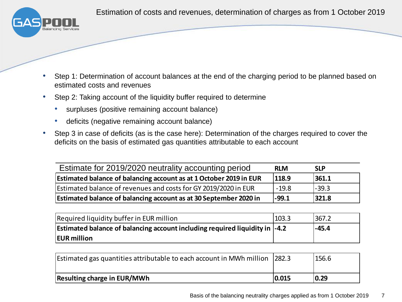Estimation of costs and revenues, determination of charges as from 1 October 2019



- Step 1: Determination of account balances at the end of the charging period to be planned based on estimated costs and revenues
- Step 2: Taking account of the liquidity buffer required to determine
	- surpluses (positive remaining account balance)
	- deficits (negative remaining account balance)
- Step 3 in case of deficits (as is the case here): Determination of the charges required to cover the deficits on the basis of estimated gas quantities attributable to each account

| Estimate for 2019/2020 neutrality accounting period                | <b>RLM</b> | <b>SLP</b> |
|--------------------------------------------------------------------|------------|------------|
| Estimated balance of balancing account as at 1 October 2019 in EUR | 118.9      | 361.1      |
| Estimated balance of revenues and costs for GY 2019/2020 in EUR    | $-19.8$    | $-39.3$    |
| Estimated balance of balancing account as at 30 September 2020 in  | $ -99.1$   | 321.8      |

| Required liquidity buffer in EUR million                                            | 103.3 | 367.2 |
|-------------------------------------------------------------------------------------|-------|-------|
| Estimated balance of balancing account including required liquidity in $\vert$ -4.2 |       | -45.4 |
| <b>EUR</b> million                                                                  |       |       |

| Estimated gas quantities attributable to each account in MWh million 282.3 |       | 156.6 |
|----------------------------------------------------------------------------|-------|-------|
| <b>Resulting charge in EUR/MWh</b>                                         | 0.015 | 0.29  |